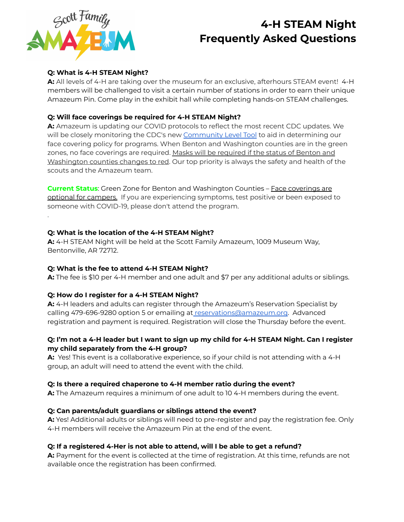

.

# **4-H STEAM Night Frequently Asked Questions**

## **Q: What is 4-H STEAM Night?**

**A:** All levels of 4-H are taking over the museum for an exclusive, afterhours STEAM event! 4-H members will be challenged to visit a certain number of stations in order to earn their unique Amazeum Pin. Come play in the exhibit hall while completing hands-on STEAM challenges.

## **Q: Will face coverings be required for 4-H STEAM Night?**

**A:** Amazeum is updating our COVID protocols to reflect the most recent CDC updates. We will be closely monitoring the CDC's new [Community](https://www.cdc.gov/coronavirus/2019-ncov/your-health/covid-by-county.html) Level Tool to aid in determining our face covering policy for programs. When Benton and Washington counties are in the green zones, no face coverings are required. Masks will be required if the status of Benton and Washington counties changes to red. Our top priority is always the safety and health of the scouts and the Amazeum team.

**Current Status:** Green Zone for Benton and Washington Counties - Face coverings are optional for campers. If you are experiencing symptoms, test positive or been exposed to someone with COVID-19, please don't attend the program.

## **Q: What is the location of the 4-H STEAM Night?**

**A:** 4-H STEAM Night will be held at the Scott Family Amazeum, 1009 Museum Way, Bentonville, AR 72712.

### **Q: What is the fee to attend 4-H STEAM Night?**

**A:** The fee is \$10 per 4-H member and one adult and \$7 per any additional adults or siblings.

### **Q: How do I register for a 4-H STEAM Night?**

**A:** 4-H leaders and adults can register through the Amazeum's Reservation Specialist by calling 479-696-9280 option 5 or emailing at [reservations@amazeum.org](mailto:reservations@amazeum.org). Advanced registration and payment is required. Registration will close the Thursday before the event.

## Q: I'm not a 4-H leader but I want to sign up my child for 4-H STEAM Night. Can I register **my child separately from the 4-H group?**

**A:** Yes! This event is a collaborative experience, so if your child is not attending with a 4-H group, an adult will need to attend the event with the child.

### **Q: Is there a required chaperone to 4-H member ratio during the event?**

**A:** The Amazeum requires a minimum of one adult to 10 4-H members during the event.

### **Q: Can parents/adult guardians or siblings attend the event?**

**A:** Yes! Additional adults or siblings will need to pre-register and pay the registration fee. Only 4-H members will receive the Amazeum Pin at the end of the event.

## **Q: If a registered 4-Her is not able to attend, will I be able to get a refund?**

**A:** Payment for the event is collected at the time of registration. At this time, refunds are not available once the registration has been confirmed.